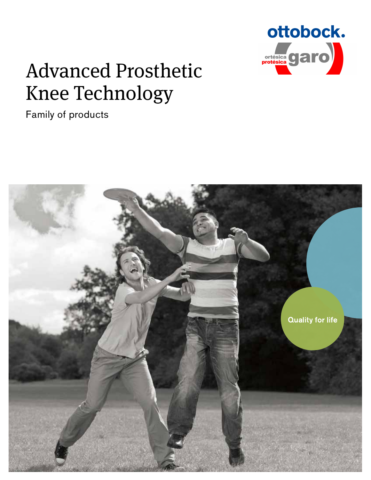

# Advanced Prosthetic Knee Technology

Family of products

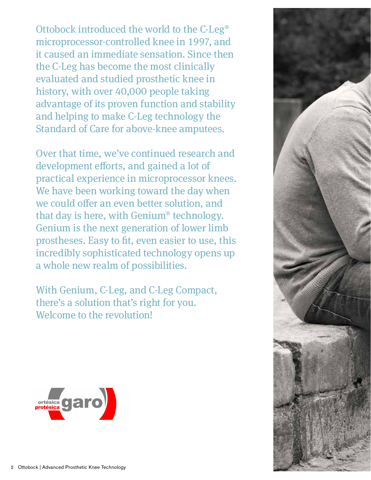Ottobock introduced the world to the C-Leg® microprocessor-controlled knee in 1997, and it caused an immediate sensation. Since then the C-Leg has become the most clinically evaluated and studied prosthetic knee in history, with over 40,000 people taking advantage of its proven function and stability and helping to make C-Leg technology the Standard of Care for above-knee amputees.

Over that time, we've continued research and development efforts, and gained a lot of practical experience in microprocessor knees. We have been working toward the day when we could offer an even better solution, and that day is here, with Genium® technology. Genium is the next generation of lower limb prostheses. Easy to fit, even easier to use, this incredibly sophisticated technology opens up a whole new realm of possibilities.

With Genium, C-Leg, and C-Leg Compact, there's a solution that's right for you. Welcome to the revolution!



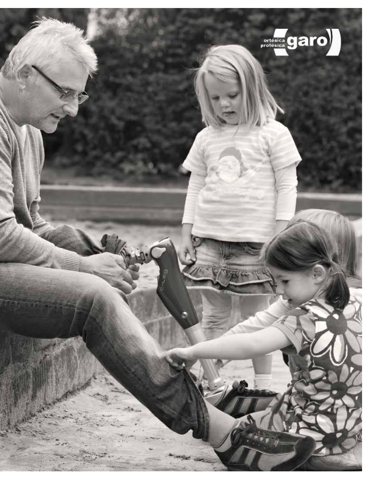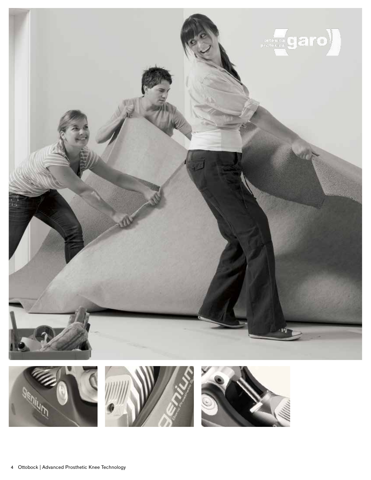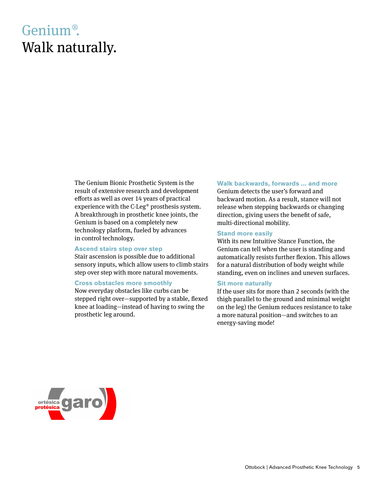### Genium®. Walk naturally.

The Genium Bionic Prosthetic System is the result of extensive research and development efforts as well as over 14 years of practical experience with the C-Leg® prosthesis system. A breakthrough in prosthetic knee joints, the Genium is based on a completely new technology platform, fueled by advances in control technology.

#### **Ascend stairs step over step**

Stair ascension is possible due to additional sensory inputs, which allow users to climb stairs step over step with more natural movements.

#### **Cross obstacles more smoothly**

Now everyday obstacles like curbs can be stepped right over—supported by a stable, flexed knee at loading—instead of having to swing the prosthetic leg around.

#### **Walk backwards, forwards ... and more**

Genium detects the user's forward and backward motion. As a result, stance will not release when stepping backwards or changing direction, giving users the benefit of safe, multi-directional mobility.

#### **Stand more easily**

With its new Intuitive Stance Function, the Genium can tell when the user is standing and automatically resists further flexion. This allows for a natural distribution of body weight while standing, even on inclines and uneven surfaces.

#### **Sit more naturally**

If the user sits for more than 2 seconds (with the thigh parallel to the ground and minimal weight on the leg) the Genium reduces resistance to take a more natural position—and switches to an energy-saving mode!

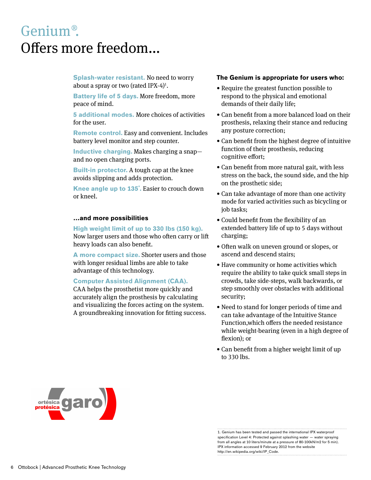### Genium®. Offers more freedom...

**Splash-water resistant.** No need to worry about a spray or two (rated IPX-4)<sup>1</sup>.

**Battery life of 5 days.** More freedom, more peace of mind.

**5 additional modes.** More choices of activities for the user.

**Remote control.** Easy and convenient. Includes battery level monitor and step counter.

**Inductive charging.** Makes charging a snap and no open charging ports.

**Built-in protector.** A tough cap at the knee avoids slipping and adds protection.

**Knee angle up to 135˚.** Easier to crouch down or kneel.

#### **…and more possibilities**

**High weight limit of up to 330 lbs (150 kg).**  Now larger users and those who often carry or lift heavy loads can also benefit.

**A more compact size.** Shorter users and those with longer residual limbs are able to take advantage of this technology.

#### **Computer Assisted Alignment (CAA).**

CAA helps the prosthetist more quickly and accurately align the prosthesis by calculating and visualizing the forces acting on the system. A groundbreaking innovation for fitting success.

#### **The Genium is appropriate for users who:**

- Require the greatest function possible to respond to the physical and emotional demands of their daily life;
- Can benefit from a more balanced load on their prosthesis, relaxing their stance and reducing any posture correction;
- Can benefit from the highest degree of intuitive function of their prosthesis, reducing cognitive effort;
- Can benefit from more natural gait, with less stress on the back, the sound side, and the hip on the prosthetic side;
- Can take advantage of more than one activity mode for varied activities such as bicycling or job tasks;
- Could benefit from the flexibility of an extended battery life of up to 5 days without charging;
- Often walk on uneven ground or slopes, or ascend and descend stairs;
- Have community or home activities which require the ability to take quick small steps in crowds, take side-steps, walk backwards, or step smoothly over obstacles with additional security;
- Need to stand for longer periods of time and can take advantage of the Intuitive Stance Function,which offers the needed resistance while weight-bearing (even in a high degree of flexion); or
- Can benefit from a higher weight limit of up to 330 lbs.



1. Genium has been tested and passed the international IPX waterproof specification Level 4: Protected against splashing water — water spraying from all angles at 10 liters/minute at a pressure of 80-100kN/m2 for 5 min). IPX information accessed 9 February 2012 from the website http://en.wikipedia.org/wiki/IP\_Code.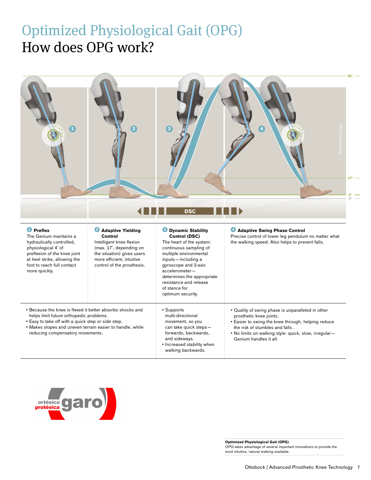### Optimized Physiological Gait (OPG) How does OPG work?

| -1.                                                                                                                                                                                                                                                         | $\overline{2}$                                                                                                                                                                        | <b>DSC</b>                                                                                                                                                                                                                                                                                   | 4                                                                                                                                                                                                                                                        |
|-------------------------------------------------------------------------------------------------------------------------------------------------------------------------------------------------------------------------------------------------------------|---------------------------------------------------------------------------------------------------------------------------------------------------------------------------------------|----------------------------------------------------------------------------------------------------------------------------------------------------------------------------------------------------------------------------------------------------------------------------------------------|----------------------------------------------------------------------------------------------------------------------------------------------------------------------------------------------------------------------------------------------------------|
| <sup>O</sup> Preflex<br>The Genium maintains a<br>hydraulically controlled,<br>physiological 4° of<br>preflexion of the knee joint<br>at heel strike, allowing the<br>foot to reach full contact<br>more quickly.                                           | <b>2</b> Adaptive Yielding<br>Control<br>Intelligent knee flexion<br>(max. 17°, depending on<br>the situation) gives users<br>more efficient, intuitive<br>control of the prosthesis. | O<br><b>Dynamic Stability</b><br>Control (DSC)<br>The heart of the system:<br>continuous sampling of<br>multiple environmental<br>inputs-including a<br>gyroscope and 2-axis<br>accelerometer-<br>determines the appropriate<br>resistance and release<br>of stance for<br>optimum security. | Adaptive Swing Phase Control<br>Precise control of lower leg pendulum no matter what<br>the walking speed. Also helps to prevent falls.                                                                                                                  |
| • Because the knee is flexed it better absorbs shocks and<br>helps limit future orthopedic problems.<br>• Easy to take off with a quick step or side step.<br>• Makes slopes and uneven terrain easier to handle, while<br>reducing compensatory movements. |                                                                                                                                                                                       | • Supports<br>multi-directional<br>movement, so you<br>can take quick steps-<br>forwards, backwards,<br>and sideways.<br>• Increased stability when<br>walking backwards.                                                                                                                    | • Quality of swing phase is unparalleled in other<br>prosthetic knee joints.<br>• Easier to swing the knee through, helping reduce<br>the risk of stumbles and falls.<br>. No limits on walking style: quick, slow, irregular-<br>Genium handles it all. |



**Optimized Physiological Gait (OPG)** OPG takes advantage of several important innovations to provide the most intuitive, natural walking available.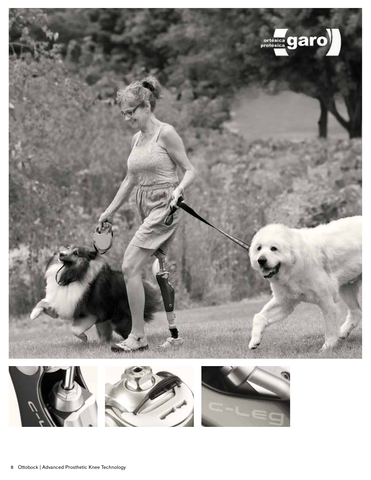

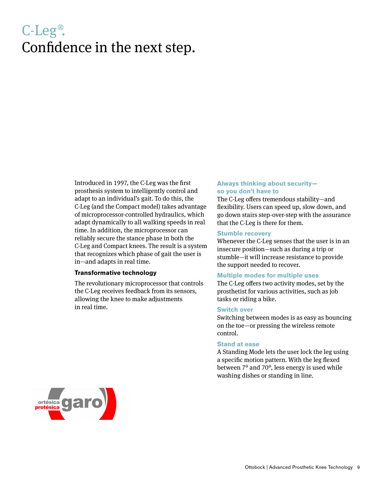### C-Leg®. Confidence in the next step.

Introduced in 1997, the C-Leg was the first prosthesis system to intelligently control and adapt to an individual's gait. To do this, the C-Leg (and the Compact model) takes advantage of microprocessor-controlled hydraulics, which adapt dynamically to all walking speeds in real time. In addition, the microprocessor can reliably secure the stance phase in both the C-Leg and Compact knees. The result is a system that recognizes which phase of gait the user is in—and adapts in real time.

#### **Transformative technology**

The revolutionary microprocessor that controls the C-Leg receives feedback from its sensors, allowing the knee to make adjustments in real time.

#### **Always thinking about security so you don't have to**

The C-Leg offers tremendous stability—and flexibility. Users can speed up, slow down, and go down stairs step-over-step with the assurance that the C-Leg is there for them.

#### **Stumble recovery**

Whenever the C-Leg senses that the user is in an insecure position—such as during a trip or stumble—it will increase resistance to provide the support needed to recover.

#### **Multiple modes for multiple uses**

The C-Leg offers two activity modes, set by the prosthetist for various activities, such as job tasks or riding a bike.

#### **Switch over**

Switching between modes is as easy as bouncing on the toe—or pressing the wireless remote control.

#### **Stand at ease**

A Standing Mode lets the user lock the leg using a specific motion pattern. With the leg flexed between 7º and 70º, less energy is used while washing dishes or standing in line.

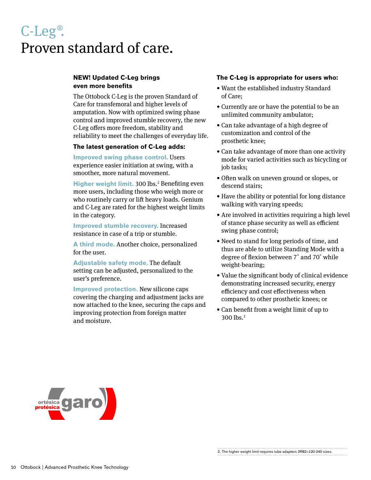### C-Leg®. Proven standard of care.

#### **NEW! Updated C-Leg brings even more benefits**

The Ottobock C-Leg is the proven Standard of Care for transfemoral and higher levels of amputation. Now with optimized swing phase control and improved stumble recovery, the new C-Leg offers more freedom, stability and reliability to meet the challenges of everyday life.

#### **The latest generation of C-Leg adds:**

**Improved swing phase control.** Users experience easier initiation at swing, with a smoother, more natural movement.

**Higher weight limit.** 300 lbs.<sup>2</sup> Benefiting even more users, including those who weigh more or who routinely carry or lift heavy loads. Genium and C-Leg are rated for the highest weight limits in the category.

**Improved stumble recovery.** Increased resistance in case of a trip or stumble.

**A third mode.** Another choice, personalized for the user.

**Adjustable safety mode.** The default setting can be adjusted, personalized to the user's preference.

**Improved protection.** New silicone caps covering the charging and adjustment jacks are now attached to the knee, securing the caps and improving protection from foreign matter and moisture.

#### **The C-Leg is appropriate for users who:**

- Want the established industry Standard of Care;
- Currently are or have the potential to be an unlimited community ambulator;
- Can take advantage of a high degree of customization and control of the prosthetic knee;
- Can take advantage of more than one activity mode for varied activities such as bicycling or job tasks;
- Often walk on uneven ground or slopes, or descend stairs;
- Have the ability or potential for long distance walking with varying speeds;
- Are involved in activities requiring a high level of stance phase security as well as efficient swing phase control;
- Need to stand for long periods of time, and thus are able to utilize Standing Mode with a degree of flexion between 7˚ and 70˚ while weight-bearing;
- Value the significant body of clinical evidence demonstrating increased security, energy efficiency and cost effectiveness when compared to other prosthetic knees; or
- Can benefit from a weight limit of up to 300 lbs.2



<sup>2.</sup> The higher weight limit requires tube adapters 2R82=120-240 sizes.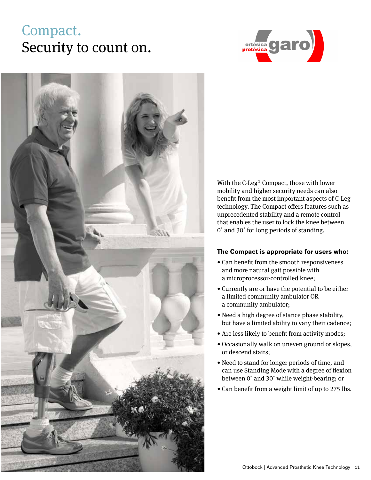### Compact. Security to count on.





With the C-Leg® Compact, those with lower mobility and higher security needs can also benefit from the most important aspects of C-Leg technology. The Compact offers features such as unprecedented stability and a remote control that enables the user to lock the knee between 0˚ and 30˚ for long periods of standing.

### **The Compact is appropriate for users who:**

- Can benefit from the smooth responsiveness and more natural gait possible with a microprocessor-controlled knee;
- Currently are or have the potential to be either a limited community ambulator OR a community ambulator;
- Need a high degree of stance phase stability, but have a limited ability to vary their cadence;
- Are less likely to benefit from activity modes;
- Occasionally walk on uneven ground or slopes, or descend stairs;
- Need to stand for longer periods of time, and can use Standing Mode with a degree of flexion between 0˚ and 30˚ while weight-bearing; or
- Can benefit from a weight limit of up to 275 lbs.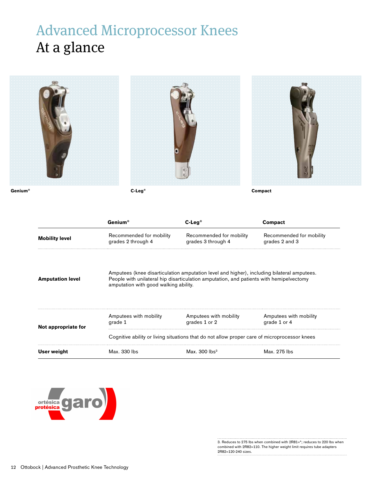### Advanced Microprocessor Knees At a glance







**Genium® C-Leg® Compact**

|                         | Genium®                                                                                                                                                                                                                        | $C$ -Leg $^{\circ}$                                                                          | <b>Compact</b>                             |  |
|-------------------------|--------------------------------------------------------------------------------------------------------------------------------------------------------------------------------------------------------------------------------|----------------------------------------------------------------------------------------------|--------------------------------------------|--|
| <b>Mobility level</b>   | Recommended for mobility<br>grades 2 through 4                                                                                                                                                                                 | Recommended for mobility<br>grades 3 through 4                                               | Recommended for mobility<br>grades 2 and 3 |  |
| <b>Amputation level</b> | Amputees (knee disarticulation amputation level and higher), including bilateral amputees.<br>People with unilateral hip disarticulation amputation, and patients with hemipelvectomy<br>amputation with good walking ability. |                                                                                              |                                            |  |
| Not appropriate for     | Amputees with mobility<br>grade 1                                                                                                                                                                                              | Amputees with mobility<br>grades 1 or 2                                                      | Amputees with mobility<br>grade 1 or 4     |  |
|                         |                                                                                                                                                                                                                                |                                                                                              |                                            |  |
|                         |                                                                                                                                                                                                                                | Cognitive ability or living situations that do not allow proper care of microprocessor knees |                                            |  |



3. Reduces to 275 lbs when combined with 2R81=\*; reduces to 220 lbs when combined with 2R82=110. The higher weight limit requires tube adapters 2R82=120-240 sizes.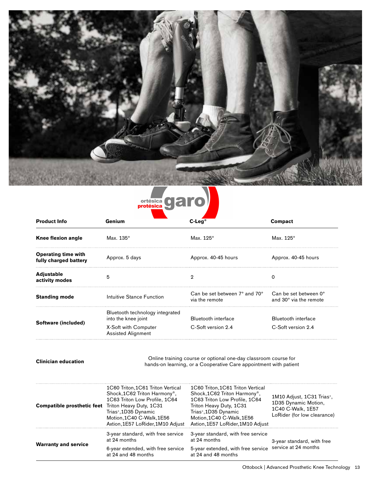



| <b>Product Info</b>                                 | Genium                                                 | $C$ -Leg <sup>®</sup>                                                                            | <b>Compact</b>         |
|-----------------------------------------------------|--------------------------------------------------------|--------------------------------------------------------------------------------------------------|------------------------|
| Knee flexion angle                                  | Max. 135°                                              | Max. 125°                                                                                        | Max. 125°              |
| <b>Operating time with</b><br>fully charged battery | Approx. 5 days                                         | Approx. 40-45 hours                                                                              | Approx. 40-45 hours    |
| Adjustable<br>activity modes                        | 5                                                      |                                                                                                  | 0                      |
| <b>Standing mode</b>                                | Intuitive Stance Function                              | Can be set between $7^{\circ}$ and $70^{\circ}$ Can be set between $0^{\circ}$<br>via the remote | and 30° via the remote |
| Software (included)                                 | Bluetooth technology integrated<br>into the knee joint | Bluetooth interface                                                                              | Bluetooth interface    |
|                                                     | X-Soft with Computer<br><b>Assisted Alignment</b>      | C-Soft version 2.4                                                                               | C-Soft version 2.4     |

**Clinician education** Online training course or optional one-day classroom course for hands-on learning, or a Cooperative Care appointment with patient

| <b>Compatible prosthetic feet</b> Triton Heavy Duty, 1C31 | 1C60 Triton, 1C61 Triton Vertical<br>Shock, 1C62 Triton Harmony <sup>®</sup> ,<br>1C63 Triton Low Profile, 1C64<br>Trias <sup>+</sup> ,1D35 Dynamic<br>Motion, 1C40 C-Walk, 1E56<br>Axtion, 1E57 LoRider, 1M10 Adjust | 1C60 Triton, 1C61 Triton Vertical<br>Shock, 1C62 Triton Harmony <sup>®</sup> ,<br>1C63 Triton Low Profile, 1C64<br>Triton Heavy Duty, 1C31<br>Trias <sup>+</sup> ,1D35 Dynamic<br>Motion, 1C40 C-Walk, 1E56<br>Axtion, 1E57 LoRider, 1M10 Adjust | 1M10 Adjust, 1C31 Trias <sup>+</sup> ,<br>1D35 Dynamic Motion,<br>1C40 C-Walk, 1E57<br>LoRider (for low clearance) |
|-----------------------------------------------------------|-----------------------------------------------------------------------------------------------------------------------------------------------------------------------------------------------------------------------|--------------------------------------------------------------------------------------------------------------------------------------------------------------------------------------------------------------------------------------------------|--------------------------------------------------------------------------------------------------------------------|
| <b>Warranty and service</b>                               | 3-year standard, with free service<br>at 24 months<br>6-year extended, with free service<br>at 24 and 48 months                                                                                                       | 3-year standard, with free service<br>at 24 months<br>5-year extended, with free service service at 24 months<br>at 24 and 48 months                                                                                                             | 3-year standard, with free                                                                                         |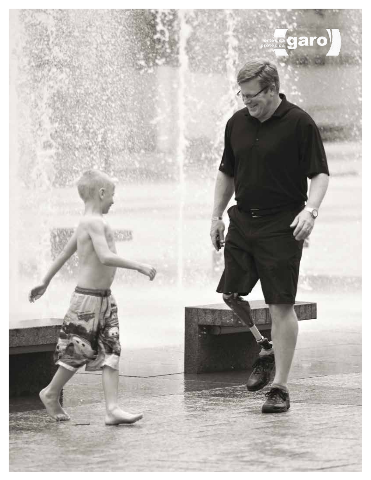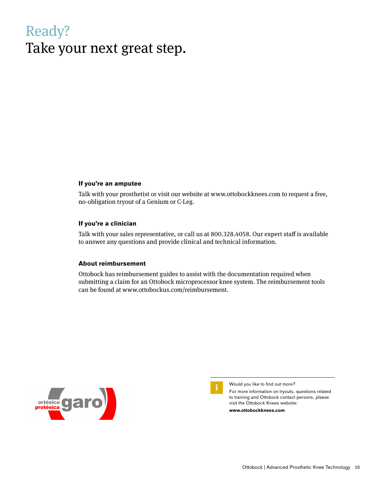## Ready? Take your next great step.

#### **If you're an amputee**

Talk with your prosthetist or visit our website at www.ottobockknees.com to request a free, no-obligation tryout of a Genium or C-Leg.

#### **If you're a clinician**

Talk with your sales representative, or call us at 800.328.4058. Our expert staff is available to answer any questions and provide clinical and technical information.

#### **About reimbursement**

Ottobock has reimbursement guides to assist with the documentation required when submitting a claim for an Ottobock microprocessor knee system. The reimbursement tools can be found at www.ottobockus.com/reimbursement.





**i** Would you like to find out more?<br>For more information on tryouts, questions related to training and Ottobock contact persons, please visit the Ottobock Knees website:

**www.ottobockknees.com**